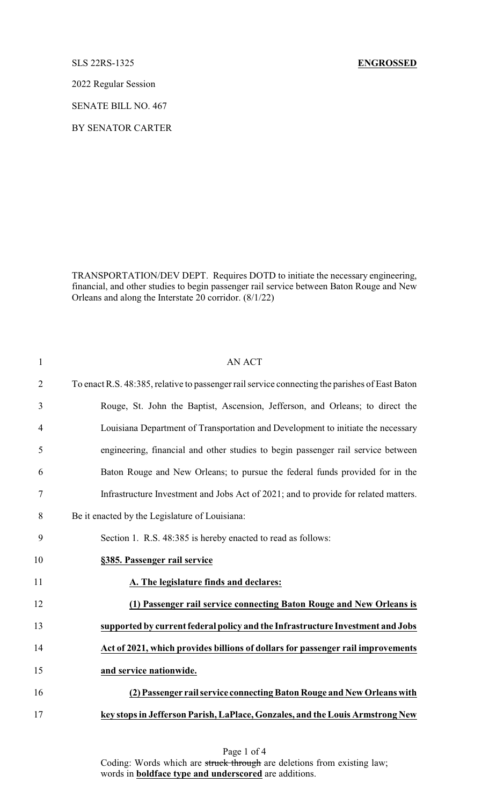## SLS 22RS-1325 **ENGROSSED**

2022 Regular Session

SENATE BILL NO. 467

BY SENATOR CARTER

TRANSPORTATION/DEV DEPT. Requires DOTD to initiate the necessary engineering, financial, and other studies to begin passenger rail service between Baton Rouge and New Orleans and along the Interstate 20 corridor. (8/1/22)

| $\mathbf{1}$   | <b>AN ACT</b>                                                                                  |
|----------------|------------------------------------------------------------------------------------------------|
| $\overline{2}$ | To enact R.S. 48:385, relative to passenger rail service connecting the parishes of East Baton |
| 3              | Rouge, St. John the Baptist, Ascension, Jefferson, and Orleans; to direct the                  |
| $\overline{4}$ | Louisiana Department of Transportation and Development to initiate the necessary               |
| 5              | engineering, financial and other studies to begin passenger rail service between               |
| 6              | Baton Rouge and New Orleans; to pursue the federal funds provided for in the                   |
| 7              | Infrastructure Investment and Jobs Act of 2021; and to provide for related matters.            |
| 8              | Be it enacted by the Legislature of Louisiana:                                                 |
| 9              | Section 1. R.S. 48:385 is hereby enacted to read as follows:                                   |
| 10             | §385. Passenger rail service                                                                   |
| 11             | A. The legislature finds and declares:                                                         |
| 12             | (1) Passenger rail service connecting Baton Rouge and New Orleans is                           |
| 13             | supported by current federal policy and the Infrastructure Investment and Jobs                 |
| 14             | Act of 2021, which provides billions of dollars for passenger rail improvements                |
| 15             | and service nationwide.                                                                        |
| 16             | (2) Passenger rail service connecting Baton Rouge and New Orleans with                         |
| 17             | key stops in Jefferson Parish, LaPlace, Gonzales, and the Louis Armstrong New                  |

Page 1 of 4 Coding: Words which are struck through are deletions from existing law; words in **boldface type and underscored** are additions.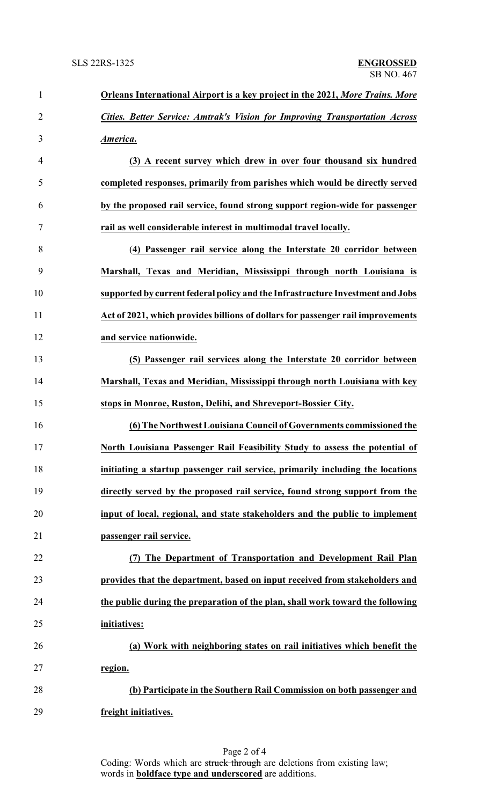| $\mathbf{1}$   | <b>Orleans International Airport is a key project in the 2021, More Trains. More</b> |
|----------------|--------------------------------------------------------------------------------------|
| $\overline{2}$ | Cities. Better Service: Amtrak's Vision for Improving Transportation Across          |
| 3              | America.                                                                             |
| $\overline{4}$ | (3) A recent survey which drew in over four thousand six hundred                     |
| 5              | completed responses, primarily from parishes which would be directly served          |
| 6              | by the proposed rail service, found strong support region-wide for passenger         |
| 7              | rail as well considerable interest in multimodal travel locally.                     |
| 8              | (4) Passenger rail service along the Interstate 20 corridor between                  |
| 9              | Marshall, Texas and Meridian, Mississippi through north Louisiana is                 |
| 10             | supported by current federal policy and the Infrastructure Investment and Jobs       |
| 11             | Act of 2021, which provides billions of dollars for passenger rail improvements      |
| 12             | and service nationwide.                                                              |
| 13             | (5) Passenger rail services along the Interstate 20 corridor between                 |
| 14             | Marshall, Texas and Meridian, Mississippi through north Louisiana with key           |
| 15             | stops in Monroe, Ruston, Delihi, and Shreveport-Bossier City.                        |
| 16             | (6) The Northwest Louisiana Council of Governments commissioned the                  |
| 17             | North Louisiana Passenger Rail Feasibility Study to assess the potential of          |
| 18             | initiating a startup passenger rail service, primarily including the locations       |
| 19             | directly served by the proposed rail service, found strong support from the          |
| 20             | input of local, regional, and state stakeholders and the public to implement         |
| 21             | passenger rail service.                                                              |
| 22             | (7) The Department of Transportation and Development Rail Plan                       |
| 23             | provides that the department, based on input received from stakeholders and          |
| 24             | the public during the preparation of the plan, shall work toward the following       |
| 25             | initiatives:                                                                         |
| 26             | (a) Work with neighboring states on rail initiatives which benefit the               |
| 27             | region.                                                                              |
| 28             | (b) Participate in the Southern Rail Commission on both passenger and                |
| 29             | freight initiatives.                                                                 |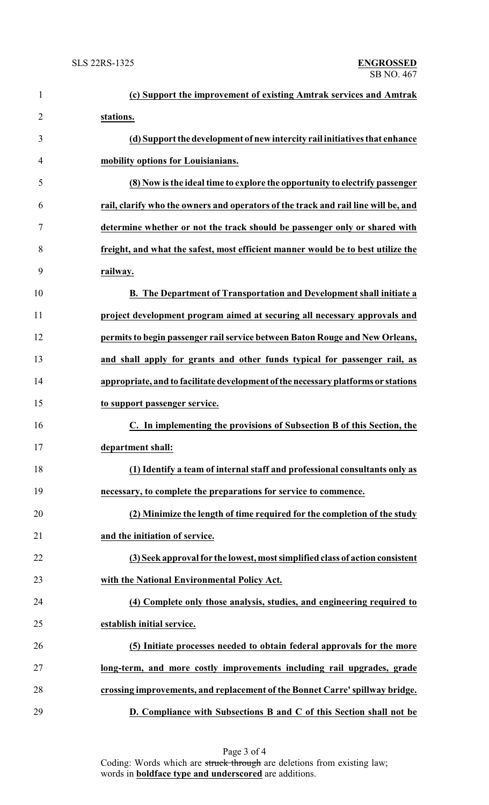| $\mathbf{1}$   | (c) Support the improvement of existing Amtrak services and Amtrak                 |
|----------------|------------------------------------------------------------------------------------|
| $\overline{2}$ | stations.                                                                          |
| 3              | (d) Support the development of new intercity rail initiatives that enhance         |
| $\overline{4}$ | mobility options for Louisianians.                                                 |
| 5              | (8) Now is the ideal time to explore the opportunity to electrify passenger        |
| 6              | rail, clarify who the owners and operators of the track and rail line will be, and |
| 7              | determine whether or not the track should be passenger only or shared with         |
| 8              | freight, and what the safest, most efficient manner would be to best utilize the   |
| 9              | railway.                                                                           |
| 10             | B. The Department of Transportation and Development shall initiate a               |
| 11             | project development program aimed at securing all necessary approvals and          |
| 12             | permits to begin passenger rail service between Baton Rouge and New Orleans,       |
| 13             | and shall apply for grants and other funds typical for passenger rail, as          |
| 14             | appropriate, and to facilitate development of the necessary platforms or stations  |
| 15             | to support passenger service.                                                      |
| 16             | C. In implementing the provisions of Subsection B of this Section, the             |
| 17             | department shall:                                                                  |
| 18             | (1) Identify a team of internal staff and professional consultants only as         |
| 19             | necessary, to complete the preparations for service to commence.                   |
| 20             | (2) Minimize the length of time required for the completion of the study           |
| 21             | and the initiation of service.                                                     |
| 22             | (3) Seek approval for the lowest, most simplified class of action consistent       |
| 23             | with the National Environmental Policy Act.                                        |
| 24             | (4) Complete only those analysis, studies, and engineering required to             |
| 25             | establish initial service.                                                         |
| 26             | (5) Initiate processes needed to obtain federal approvals for the more             |
| 27             | long-term, and more costly improvements including rail upgrades, grade             |
| 28             | crossing improvements, and replacement of the Bonnet Carre' spillway bridge.       |
| 29             | D. Compliance with Subsections B and C of this Section shall not be                |